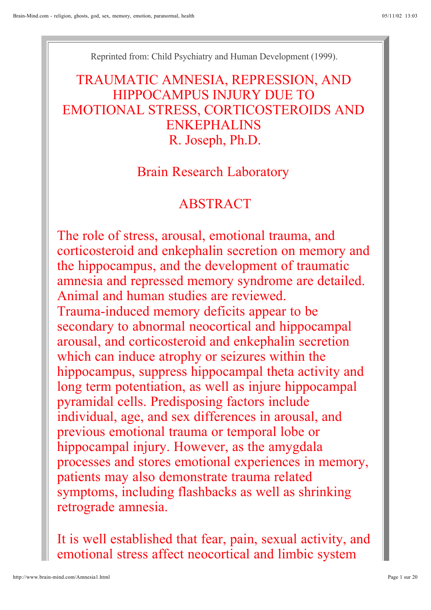Reprinted from: Child Psychiatry and Human Development (1999).

## TRAUMATIC AMNESIA, REPRESSION, AND HIPPOCAMPUS INJURY DUE TO EMOTIONAL STRESS, CORTICOSTEROIDS AND ENKEPHALINS R. Joseph, Ph.D.

## Brain Research Laboratory

## **ABSTRACT**

The role of stress, arousal, emotional trauma, and corticosteroid and enkephalin secretion on memory and the hippocampus, and the development of traumatic amnesia and repressed memory syndrome are detailed. Animal and human studies are reviewed. Trauma-induced memory deficits appear to be secondary to abnormal neocortical and hippocampal arousal, and corticosteroid and enkephalin secretion which can induce atrophy or seizures within the hippocampus, suppress hippocampal theta activity and long term potentiation, as well as injure hippocampal pyramidal cells. Predisposing factors include individual, age, and sex differences in arousal, and previous emotional trauma or temporal lobe or hippocampal injury. However, as the amygdala processes and stores emotional experiences in memory, patients may also demonstrate trauma related symptoms, including flashbacks as well as shrinking retrograde amnesia.

It is well established that fear, pain, sexual activity, and emotional stress affect neocortical and limbic system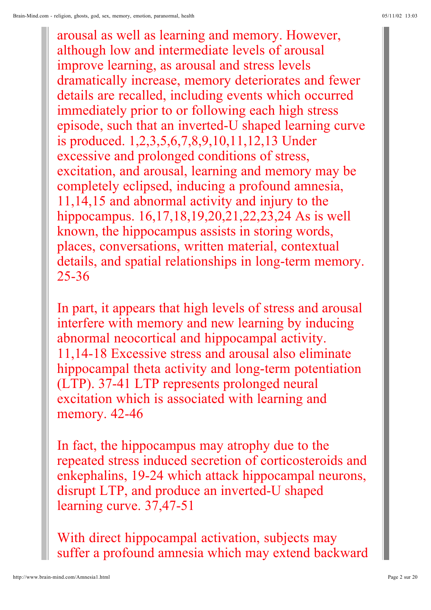arousal as well as learning and memory. However, although low and intermediate levels of arousal improve learning, as arousal and stress levels dramatically increase, memory deteriorates and fewer details are recalled, including events which occurred immediately prior to or following each high stress episode, such that an inverted-U shaped learning curve is produced. 1,2,3,5,6,7,8,9,10,11,12,13 Under excessive and prolonged conditions of stress, excitation, and arousal, learning and memory may be completely eclipsed, inducing a profound amnesia, 11,14,15 and abnormal activity and injury to the hippocampus. 16,17,18,19,20,21,22,23,24 As is well known, the hippocampus assists in storing words, places, conversations, written material, contextual details, and spatial relationships in long-term memory. 25-36

In part, it appears that high levels of stress and arousal interfere with memory and new learning by inducing abnormal neocortical and hippocampal activity. 11,14-18 Excessive stress and arousal also eliminate hippocampal theta activity and long-term potentiation (LTP). 37-41 LTP represents prolonged neural excitation which is associated with learning and memory. 42-46

In fact, the hippocampus may atrophy due to the repeated stress induced secretion of corticosteroids and enkephalins, 19-24 which attack hippocampal neurons, disrupt LTP, and produce an inverted-U shaped learning curve.  $37,47-51$ 

With direct hippocampal activation, subjects may suffer a profound amnesia which may extend backward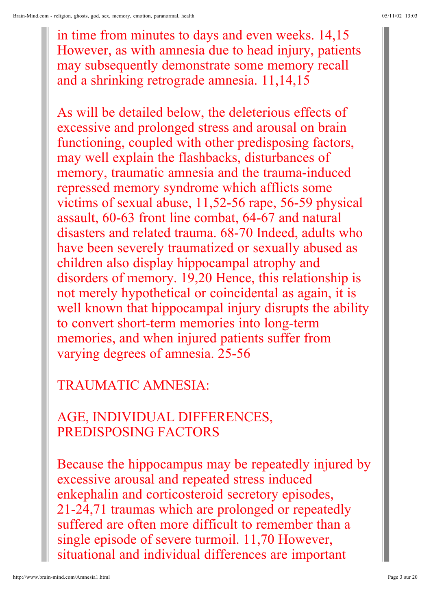in time from minutes to days and even weeks. 14,15 However, as with amnesia due to head injury, patients may subsequently demonstrate some memory recall and a shrinking retrograde amnesia. 11,14,15

As will be detailed below, the deleterious effects of excessive and prolonged stress and arousal on brain functioning, coupled with other predisposing factors, may well explain the flashbacks, disturbances of memory, traumatic amnesia and the trauma-induced repressed memory syndrome which afflicts some victims of sexual abuse, 11,52-56 rape, 56-59 physical assault, 60-63 front line combat, 64-67 and natural disasters and related trauma. 68-70 Indeed, adults who have been severely traumatized or sexually abused as children also display hippocampal atrophy and disorders of memory. 19,20 Hence, this relationship is not merely hypothetical or coincidental as again, it is well known that hippocampal injury disrupts the ability to convert short-term memories into long-term memories, and when injured patients suffer from varying degrees of amnesia. 25-56

TRAUMATIC AMNESIA:

#### AGE, INDIVIDUAL DIFFERENCES, PREDISPOSING FACTORS

Because the hippocampus may be repeatedly injured by excessive arousal and repeated stress induced enkephalin and corticosteroid secretory episodes, 21-24,71 traumas which are prolonged or repeatedly suffered are often more difficult to remember than a single episode of severe turmoil. 11,70 However, situational and individual differences are important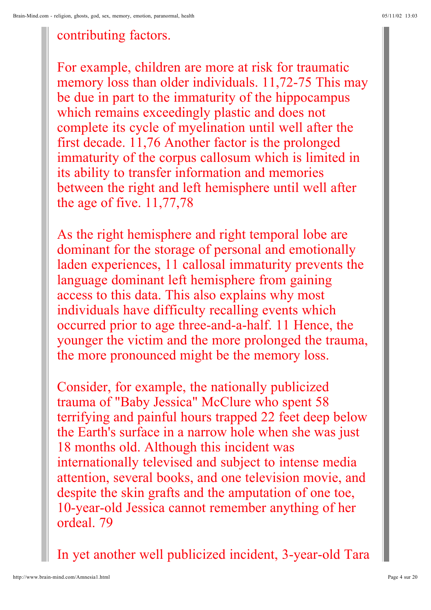### contributing factors.

For example, children are more at risk for traumatic memory loss than older individuals. 11,72-75 This may be due in part to the immaturity of the hippocampus which remains exceedingly plastic and does not complete its cycle of myelination until well after the first decade. 11,76 Another factor is the prolonged immaturity of the corpus callosum which is limited in its ability to transfer information and memories between the right and left hemisphere until well after the age of five. 11,77,78

As the right hemisphere and right temporal lobe are dominant for the storage of personal and emotionally laden experiences, 11 callosal immaturity prevents the language dominant left hemisphere from gaining access to this data. This also explains why most individuals have difficulty recalling events which occurred prior to age three-and-a-half. 11 Hence, the younger the victim and the more prolonged the trauma, the more pronounced might be the memory loss.

Consider, for example, the nationally publicized trauma of "Baby Jessica" McClure who spent 58 terrifying and painful hours trapped 22 feet deep below the Earth's surface in a narrow hole when she was just 18 months old. Although this incident was internationally televised and subject to intense media attention, several books, and one television movie, and despite the skin grafts and the amputation of one toe, 10-year-old Jessica cannot remember anything of her ordeal. 79

In yet another well publicized incident, 3-year-old Tara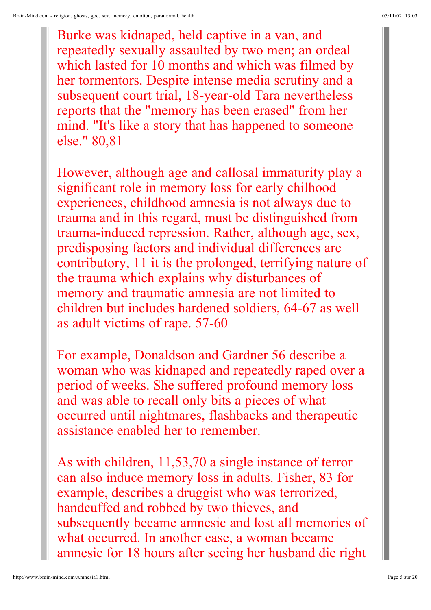Burke was kidnaped, held captive in a van, and repeatedly sexually assaulted by two men; an ordeal which lasted for 10 months and which was filmed by her tormentors. Despite intense media scrutiny and a subsequent court trial, 18-year-old Tara nevertheless reports that the "memory has been erased" from her mind. "It's like a story that has happened to someone else." 80,81

However, although age and callosal immaturity play a significant role in memory loss for early chilhood experiences, childhood amnesia is not always due to trauma and in this regard, must be distinguished from trauma-induced repression. Rather, although age, sex, predisposing factors and individual differences are contributory, 11 it is the prolonged, terrifying nature of the trauma which explains why disturbances of memory and traumatic amnesia are not limited to children but includes hardened soldiers, 64-67 as well as adult victims of rape. 57-60

For example, Donaldson and Gardner 56 describe a woman who was kidnaped and repeatedly raped over a period of weeks. She suffered profound memory loss and was able to recall only bits a pieces of what occurred until nightmares, flashbacks and therapeutic assistance enabled her to remember.

As with children, 11,53,70 a single instance of terror can also induce memory loss in adults. Fisher, 83 for example, describes a druggist who was terrorized, handcuffed and robbed by two thieves, and subsequently became amnesic and lost all memories of what occurred. In another case, a woman became amnesic for 18 hours after seeing her husband die right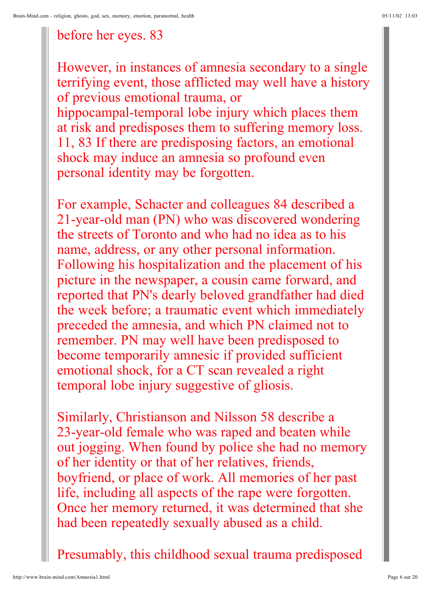However, in instances of amnesia secondary to a single terrifying event, those afflicted may well have a history of previous emotional trauma, or

hippocampal-temporal lobe injury which places them at risk and predisposes them to suffering memory loss. 11, 83 If there are predisposing factors, an emotional shock may induce an amnesia so profound even personal identity may be forgotten.

For example, Schacter and colleagues 84 described a 21-year-old man (PN) who was discovered wondering the streets of Toronto and who had no idea as to his name, address, or any other personal information. Following his hospitalization and the placement of his picture in the newspaper, a cousin came forward, and reported that PN's dearly beloved grandfather had died the week before; a traumatic event which immediately preceded the amnesia, and which PN claimed not to remember. PN may well have been predisposed to become temporarily amnesic if provided sufficient emotional shock, for a CT scan revealed a right temporal lobe injury suggestive of gliosis.

Similarly, Christianson and Nilsson 58 describe a 23-year-old female who was raped and beaten while out jogging. When found by police she had no memory of her identity or that of her relatives, friends, boyfriend, or place of work. All memories of her past life, including all aspects of the rape were forgotten. Once her memory returned, it was determined that she had been repeatedly sexually abused as a child.

Presumably, this childhood sexual trauma predisposed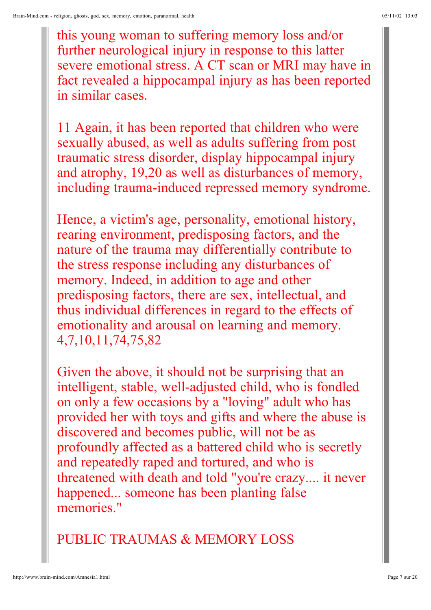this young woman to suffering memory loss and/or further neurological injury in response to this latter severe emotional stress. A CT scan or MRI may have in fact revealed a hippocampal injury as has been reported in similar cases.

11 Again, it has been reported that children who were sexually abused, as well as adults suffering from post traumatic stress disorder, display hippocampal injury and atrophy, 19,20 as well as disturbances of memory, including trauma-induced repressed memory syndrome.

Hence, a victim's age, personality, emotional history, rearing environment, predisposing factors, and the nature of the trauma may differentially contribute to the stress response including any disturbances of memory. Indeed, in addition to age and other predisposing factors, there are sex, intellectual, and thus individual differences in regard to the effects of emotionality and arousal on learning and memory. 4,7,10,11,74,75,82

Given the above, it should not be surprising that an intelligent, stable, well-adjusted child, who is fondled on only a few occasions by a "loving" adult who has provided her with toys and gifts and where the abuse is discovered and becomes public, will not be as profoundly affected as a battered child who is secretly and repeatedly raped and tortured, and who is threatened with death and told "you're crazy.... it never happened... someone has been planting false memories."

PUBLIC TRAUMAS & MEMORY LOSS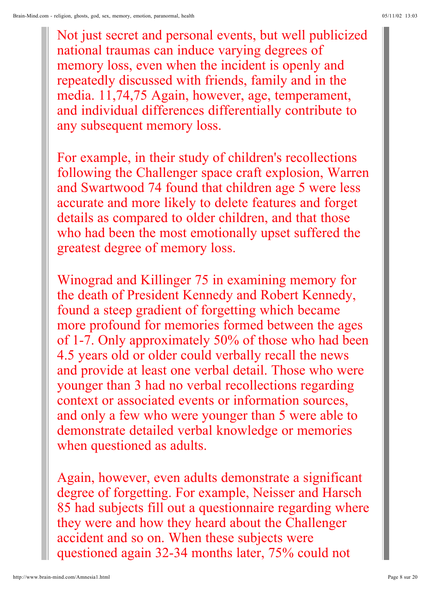Not just secret and personal events, but well publicized national traumas can induce varying degrees of memory loss, even when the incident is openly and repeatedly discussed with friends, family and in the media. 11,74,75 Again, however, age, temperament, and individual differences differentially contribute to any subsequent memory loss.

For example, in their study of children's recollections following the Challenger space craft explosion, Warren and Swartwood 74 found that children age 5 were less accurate and more likely to delete features and forget details as compared to older children, and that those who had been the most emotionally upset suffered the greatest degree of memory loss.

Winograd and Killinger 75 in examining memory for the death of President Kennedy and Robert Kennedy, found a steep gradient of forgetting which became more profound for memories formed between the ages of 1-7. Only approximately 50% of those who had been 4.5 years old or older could verbally recall the news and provide at least one verbal detail. Those who were younger than 3 had no verbal recollections regarding context or associated events or information sources, and only a few who were younger than 5 were able to demonstrate detailed verbal knowledge or memories when questioned as adults.

Again, however, even adults demonstrate a significant degree of forgetting. For example, Neisser and Harsch 85 had subjects fill out a questionnaire regarding where they were and how they heard about the Challenger accident and so on. When these subjects were questioned again 32-34 months later, 75% could not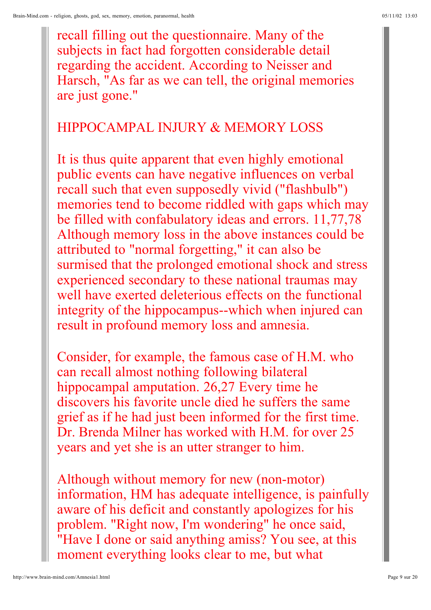recall filling out the questionnaire. Many of the subjects in fact had forgotten considerable detail regarding the accident. According to Neisser and Harsch, "As far as we can tell, the original memories are just gone."

#### HIPPOCAMPAL INJURY & MEMORY LOSS

It is thus quite apparent that even highly emotional public events can have negative influences on verbal recall such that even supposedly vivid ("flashbulb") memories tend to become riddled with gaps which may be filled with confabulatory ideas and errors. 11,77,78 Although memory loss in the above instances could be attributed to "normal forgetting," it can also be surmised that the prolonged emotional shock and stress experienced secondary to these national traumas may well have exerted deleterious effects on the functional integrity of the hippocampus--which when injured can result in profound memory loss and amnesia.

Consider, for example, the famous case of H.M. who can recall almost nothing following bilateral hippocampal amputation. 26,27 Every time he discovers his favorite uncle died he suffers the same grief as if he had just been informed for the first time. Dr. Brenda Milner has worked with H.M. for over 25 years and yet she is an utter stranger to him.

Although without memory for new (non-motor) information, HM has adequate intelligence, is painfully aware of his deficit and constantly apologizes for his problem. "Right now, I'm wondering" he once said, "Have I done or said anything amiss? You see, at this moment everything looks clear to me, but what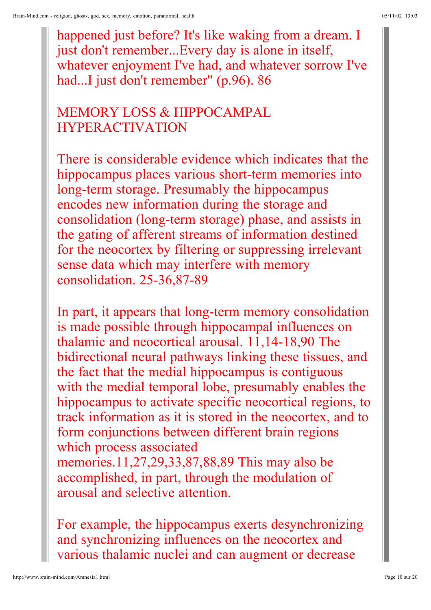happened just before? It's like waking from a dream. I just don't remember...Every day is alone in itself, whatever enjoyment I've had, and whatever sorrow I've had...I just don't remember" (p.96). 86

## MEMORY LOSS & HIPPOCAMPAL HYPERACTIVATION

There is considerable evidence which indicates that the hippocampus places various short-term memories into long-term storage. Presumably the hippocampus encodes new information during the storage and consolidation (long-term storage) phase, and assists in the gating of afferent streams of information destined for the neocortex by filtering or suppressing irrelevant sense data which may interfere with memory consolidation. 25-36,87-89

In part, it appears that long-term memory consolidation is made possible through hippocampal influences on thalamic and neocortical arousal. 11,14-18,90 The bidirectional neural pathways linking these tissues, and the fact that the medial hippocampus is contiguous with the medial temporal lobe, presumably enables the hippocampus to activate specific neocortical regions, to track information as it is stored in the neocortex, and to form conjunctions between different brain regions which process associated memories.11,27,29,33,87,88,89 This may also be

accomplished, in part, through the modulation of arousal and selective attention.

For example, the hippocampus exerts desynchronizing and synchronizing influences on the neocortex and various thalamic nuclei and can augment or decrease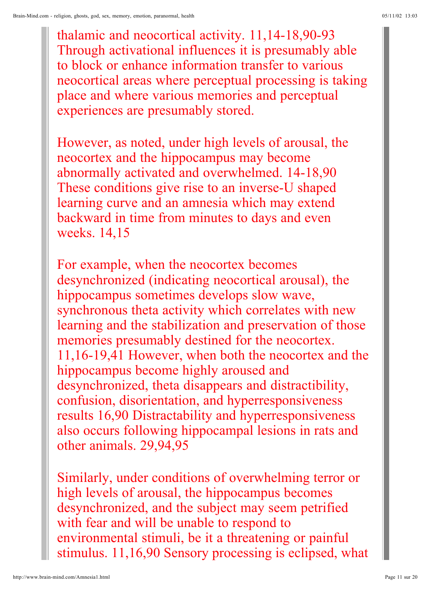thalamic and neocortical activity. 11,14-18,90-93 Through activational influences it is presumably able to block or enhance information transfer to various neocortical areas where perceptual processing is taking place and where various memories and perceptual experiences are presumably stored.

However, as noted, under high levels of arousal, the neocortex and the hippocampus may become abnormally activated and overwhelmed. 14-18,90 These conditions give rise to an inverse-U shaped learning curve and an amnesia which may extend backward in time from minutes to days and even weeks. 14,15

For example, when the neocortex becomes desynchronized (indicating neocortical arousal), the hippocampus sometimes develops slow wave, synchronous theta activity which correlates with new learning and the stabilization and preservation of those memories presumably destined for the neocortex. 11,16-19,41 However, when both the neocortex and the hippocampus become highly aroused and desynchronized, theta disappears and distractibility, confusion, disorientation, and hyperresponsiveness results 16,90 Distractability and hyperresponsiveness also occurs following hippocampal lesions in rats and other animals. 29,94,95

Similarly, under conditions of overwhelming terror or high levels of arousal, the hippocampus becomes desynchronized, and the subject may seem petrified with fear and will be unable to respond to environmental stimuli, be it a threatening or painful stimulus. 11,16,90 Sensory processing is eclipsed, what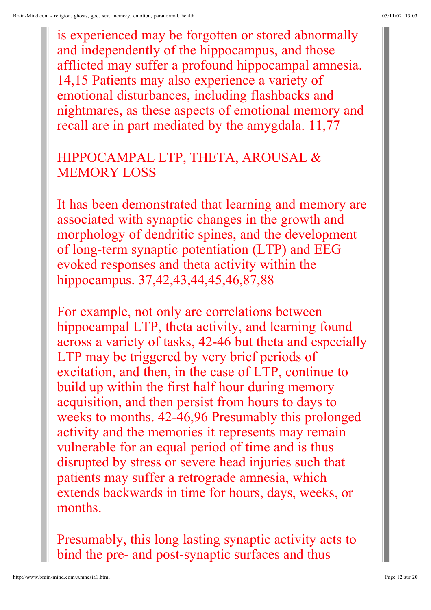is experienced may be forgotten or stored abnormally and independently of the hippocampus, and those afflicted may suffer a profound hippocampal amnesia. 14,15 Patients may also experience a variety of emotional disturbances, including flashbacks and nightmares, as these aspects of emotional memory and recall are in part mediated by the amygdala. 11,77

## HIPPOCAMPAL LTP, THETA, AROUSAL & MEMORY LOSS

It has been demonstrated that learning and memory are associated with synaptic changes in the growth and morphology of dendritic spines, and the development of long-term synaptic potentiation (LTP) and EEG evoked responses and theta activity within the hippocampus. 37,42,43,44,45,46,87,88

For example, not only are correlations between hippocampal LTP, theta activity, and learning found across a variety of tasks, 42-46 but theta and especially LTP may be triggered by very brief periods of excitation, and then, in the case of LTP, continue to build up within the first half hour during memory acquisition, and then persist from hours to days to weeks to months. 42-46,96 Presumably this prolonged activity and the memories it represents may remain vulnerable for an equal period of time and is thus disrupted by stress or severe head injuries such that patients may suffer a retrograde amnesia, which extends backwards in time for hours, days, weeks, or months.

Presumably, this long lasting synaptic activity acts to bind the pre- and post-synaptic surfaces and thus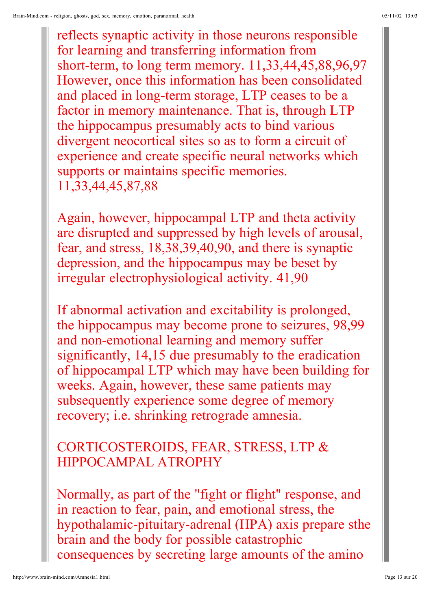reflects synaptic activity in those neurons responsible for learning and transferring information from short-term, to long term memory. 11,33,44,45,88,96,97 However, once this information has been consolidated and placed in long-term storage, LTP ceases to be a factor in memory maintenance. That is, through LTP the hippocampus presumably acts to bind various divergent neocortical sites so as to form a circuit of experience and create specific neural networks which supports or maintains specific memories. 11,33,44,45,87,88

Again, however, hippocampal LTP and theta activity are disrupted and suppressed by high levels of arousal, fear, and stress, 18,38,39,40,90, and there is synaptic depression, and the hippocampus may be beset by irregular electrophysiological activity. 41,90

If abnormal activation and excitability is prolonged, the hippocampus may become prone to seizures, 98,99 and non-emotional learning and memory suffer significantly, 14,15 due presumably to the eradication of hippocampal LTP which may have been building for weeks. Again, however, these same patients may subsequently experience some degree of memory recovery; i.e. shrinking retrograde amnesia.

#### CORTICOSTEROIDS, FEAR, STRESS, LTP & HIPPOCAMPAL ATROPHY

Normally, as part of the "fight or flight" response, and in reaction to fear, pain, and emotional stress, the hypothalamic-pituitary-adrenal (HPA) axis prepare sthe brain and the body for possible catastrophic consequences by secreting large amounts of the amino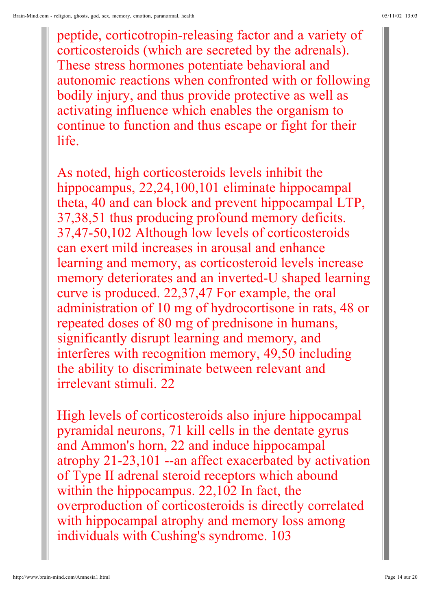peptide, corticotropin-releasing factor and a variety of corticosteroids (which are secreted by the adrenals). These stress hormones potentiate behavioral and autonomic reactions when confronted with or following bodily injury, and thus provide protective as well as activating influence which enables the organism to continue to function and thus escape or fight for their life.

As noted, high corticosteroids levels inhibit the hippocampus, 22,24,100,101 eliminate hippocampal theta, 40 and can block and prevent hippocampal LTP, 37,38,51 thus producing profound memory deficits. 37,47-50,102 Although low levels of corticosteroids can exert mild increases in arousal and enhance learning and memory, as corticosteroid levels increase memory deteriorates and an inverted-U shaped learning curve is produced. 22,37,47 For example, the oral administration of 10 mg of hydrocortisone in rats, 48 or repeated doses of 80 mg of prednisone in humans, significantly disrupt learning and memory, and interferes with recognition memory, 49,50 including the ability to discriminate between relevant and irrelevant stimuli. 22

High levels of corticosteroids also injure hippocampal pyramidal neurons, 71 kill cells in the dentate gyrus and Ammon's horn, 22 and induce hippocampal atrophy 21-23,101 --an affect exacerbated by activation of Type II adrenal steroid receptors which abound within the hippocampus. 22,102 In fact, the overproduction of corticosteroids is directly correlated with hippocampal atrophy and memory loss among individuals with Cushing's syndrome. 103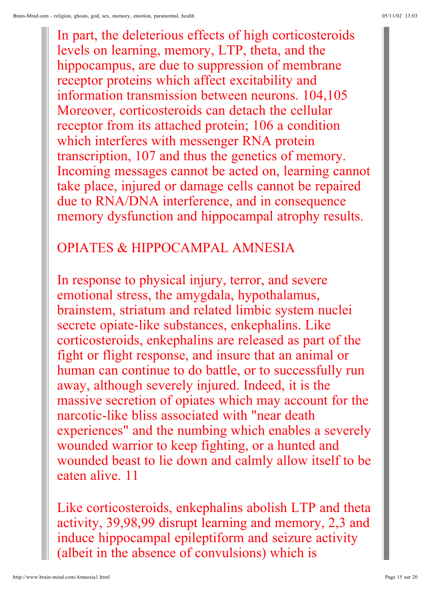In part, the deleterious effects of high corticosteroids levels on learning, memory, LTP, theta, and the hippocampus, are due to suppression of membrane receptor proteins which affect excitability and information transmission between neurons. 104,105 Moreover, corticosteroids can detach the cellular receptor from its attached protein; 106 a condition which interferes with messenger RNA protein transcription, 107 and thus the genetics of memory. Incoming messages cannot be acted on, learning cannot take place, injured or damage cells cannot be repaired due to RNA/DNA interference, and in consequence memory dysfunction and hippocampal atrophy results.

#### OPIATES & HIPPOCAMPAL AMNESIA

In response to physical injury, terror, and severe emotional stress, the amygdala, hypothalamus, brainstem, striatum and related limbic system nuclei secrete opiate-like substances, enkephalins. Like corticosteroids, enkephalins are released as part of the fight or flight response, and insure that an animal or human can continue to do battle, or to successfully run away, although severely injured. Indeed, it is the massive secretion of opiates which may account for the narcotic-like bliss associated with "near death experiences" and the numbing which enables a severely wounded warrior to keep fighting, or a hunted and wounded beast to lie down and calmly allow itself to be eaten alive. 11

Like corticosteroids, enkephalins abolish LTP and theta activity, 39,98,99 disrupt learning and memory, 2,3 and induce hippocampal epileptiform and seizure activity (albeit in the absence of convulsions) which is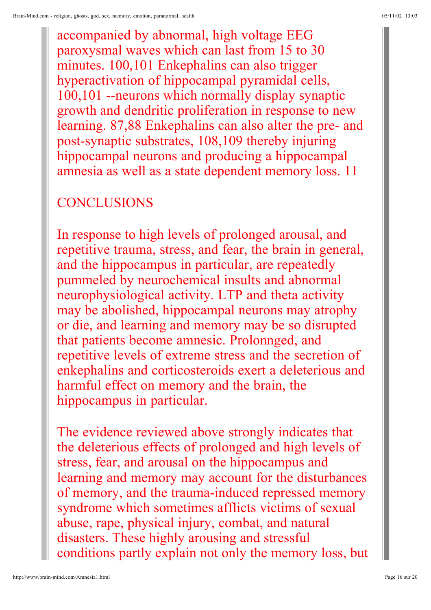accompanied by abnormal, high voltage EEG paroxysmal waves which can last from 15 to 30 minutes. 100,101 Enkephalins can also trigger hyperactivation of hippocampal pyramidal cells, 100,101 --neurons which normally display synaptic growth and dendritic proliferation in response to new learning. 87,88 Enkephalins can also alter the pre- and post-synaptic substrates, 108,109 thereby injuring hippocampal neurons and producing a hippocampal amnesia as well as a state dependent memory loss. 11

## **CONCLUSIONS**

In response to high levels of prolonged arousal, and repetitive trauma, stress, and fear, the brain in general, and the hippocampus in particular, are repeatedly pummeled by neurochemical insults and abnormal neurophysiological activity. LTP and theta activity may be abolished, hippocampal neurons may atrophy or die, and learning and memory may be so disrupted that patients become amnesic. Prolonnged, and repetitive levels of extreme stress and the secretion of enkephalins and corticosteroids exert a deleterious and harmful effect on memory and the brain, the hippocampus in particular.

The evidence reviewed above strongly indicates that the deleterious effects of prolonged and high levels of stress, fear, and arousal on the hippocampus and learning and memory may account for the disturbances of memory, and the trauma-induced repressed memory syndrome which sometimes afflicts victims of sexual abuse, rape, physical injury, combat, and natural disasters. These highly arousing and stressful conditions partly explain not only the memory loss, but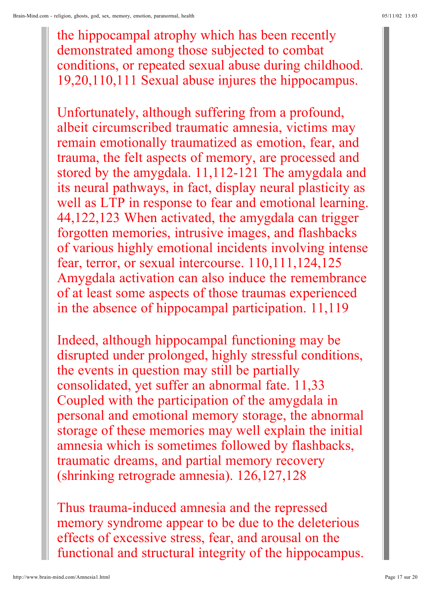the hippocampal atrophy which has been recently demonstrated among those subjected to combat conditions, or repeated sexual abuse during childhood. 19,20,110,111 Sexual abuse injures the hippocampus.

Unfortunately, although suffering from a profound, albeit circumscribed traumatic amnesia, victims may remain emotionally traumatized as emotion, fear, and trauma, the felt aspects of memory, are processed and stored by the amygdala. 11,112-121 The amygdala and its neural pathways, in fact, display neural plasticity as well as LTP in response to fear and emotional learning. 44,122,123 When activated, the amygdala can trigger forgotten memories, intrusive images, and flashbacks of various highly emotional incidents involving intense fear, terror, or sexual intercourse. 110,111,124,125 Amygdala activation can also induce the remembrance of at least some aspects of those traumas experienced in the absence of hippocampal participation. 11,119

Indeed, although hippocampal functioning may be disrupted under prolonged, highly stressful conditions, the events in question may still be partially consolidated, yet suffer an abnormal fate. 11,33 Coupled with the participation of the amygdala in personal and emotional memory storage, the abnormal storage of these memories may well explain the initial amnesia which is sometimes followed by flashbacks, traumatic dreams, and partial memory recovery (shrinking retrograde amnesia). 126,127,128

Thus trauma-induced amnesia and the repressed memory syndrome appear to be due to the deleterious effects of excessive stress, fear, and arousal on the functional and structural integrity of the hippocampus.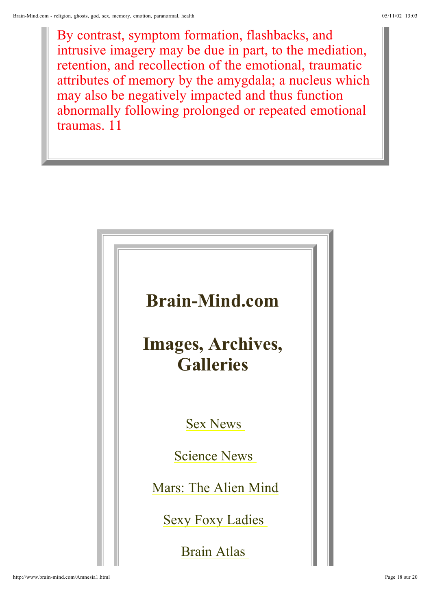By contrast, symptom formation, flashbacks, and intrusive imagery may be due in part, to the mediation, retention, and recollection of the emotional, traumatic attributes of memory by the amygdala; a nucleus which may also be negatively impacted and thus function abnormally following prolonged or repeated emotional traumas. 11

## **Brain-Mind.com**

# **Images, Archives, Galleries**

Sex News

Science News

Mars: The Alien Mind

Sexy Foxy Ladies

Brain Atlas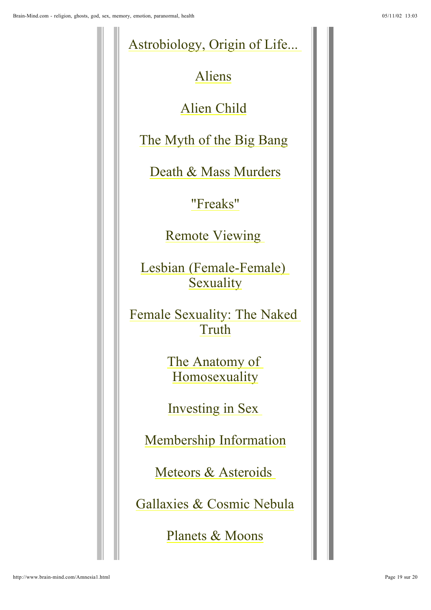